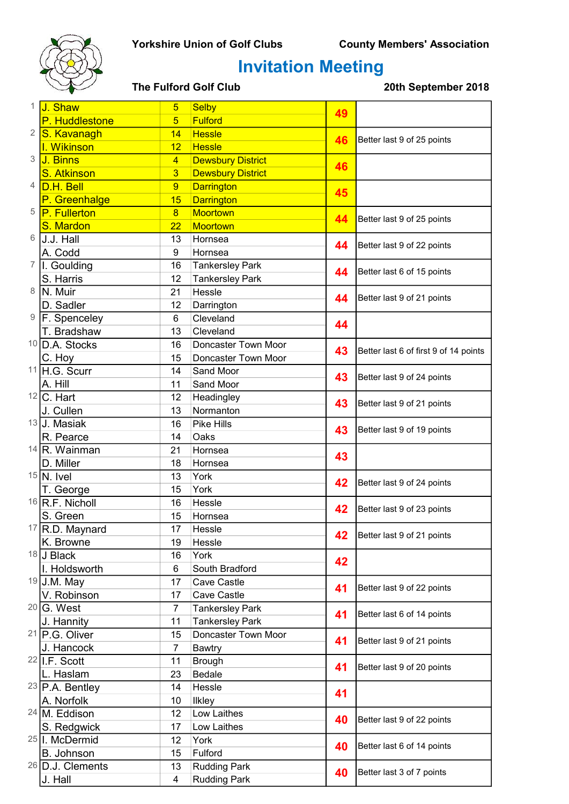### Yorkshire Union of Golf Clubs County Members' Association



# Invitation Meeting

| 1          | J. Shaw                        | $5\phantom{.0}$ | <b>Selby</b>             | 49 |                                       |
|------------|--------------------------------|-----------------|--------------------------|----|---------------------------------------|
|            | P. Huddlestone                 | $5\overline{5}$ | <b>Fulford</b>           |    |                                       |
| $\sqrt{2}$ | S. Kavanagh                    | 14              | <b>Hessle</b>            |    |                                       |
|            | I. Wikinson                    | 12              | <b>Hessle</b>            | 46 | Better last 9 of 25 points            |
| 3          | J. Binns                       | $\overline{4}$  | <b>Dewsbury District</b> | 46 |                                       |
|            | <b>S. Atkinson</b>             | $\overline{3}$  | <b>Dewsbury District</b> |    |                                       |
| 4          | <b>D.H. Bell</b>               | 9               | <b>Darrington</b>        | 45 |                                       |
|            | P. Greenhalge                  | 15              | <b>Darrington</b>        |    |                                       |
| 5          | P. Fullerton                   | $\overline{8}$  | Moortown                 |    | Better last 9 of 25 points            |
|            | S. Mardon                      | $\overline{22}$ | Moortown                 | 44 |                                       |
| 6          | J.J. Hall                      | 13              | Hornsea                  | 44 | Better last 9 of 22 points            |
|            | A. Codd                        | 9               | Hornsea                  |    |                                       |
| 7          | I. Goulding                    | 16              | <b>Tankersley Park</b>   | 44 | Better last 6 of 15 points            |
|            | S. Harris                      | 12              | <b>Tankersley Park</b>   |    |                                       |
| 8          | N. Muir                        | 21              | Hessle                   | 44 | Better last 9 of 21 points            |
|            | D. Sadler                      | 12              | Darrington               |    |                                       |
| 9          | F. Spenceley                   | 6               | Cleveland                | 44 |                                       |
|            | T. Bradshaw                    | 13              | Cleveland                |    |                                       |
|            | <sup>10</sup> D.A. Stocks      | 16              | Doncaster Town Moor      | 43 | Better last 6 of first 9 of 14 points |
|            | C. Hoy                         | 15              | Doncaster Town Moor      |    |                                       |
| 11         | H.G. Scurr                     | 14              | Sand Moor                | 43 | Better last 9 of 24 points            |
|            | A. Hill                        | 11              | Sand Moor                |    |                                       |
|            | $12$ C. Hart                   | 12              | Headingley               | 43 | Better last 9 of 21 points            |
|            | J. Cullen                      | 13              | Normanton                |    |                                       |
|            | 13 J. Masiak                   | 16              | Pike Hills               | 43 | Better last 9 of 19 points            |
|            | R. Pearce                      | 14              | Oaks                     |    |                                       |
|            | $14$ R. Wainman                | 21              | Hornsea                  | 43 |                                       |
|            | D. Miller                      | 18              | Hornsea                  |    |                                       |
|            | $15$ N. Ivel                   | 13              | York                     | 42 | Better last 9 of 24 points            |
|            | T. George<br>$16$ R.F. Nicholl | 15<br>16        | York<br>Hessle           |    |                                       |
|            | S. Green                       | 15              | Hornsea                  | 42 | Better last 9 of 23 points            |
|            | $17$ R.D. Maynard              | 17              | Hessle                   |    |                                       |
|            | K. Browne                      | 19              | Hessle                   | 42 | Better last 9 of 21 points            |
|            | 18 J Black                     | 16              | York                     |    |                                       |
|            | I. Holdsworth                  | 6               | South Bradford           | 42 |                                       |
|            | 19 J.M. May                    | 17              | Cave Castle              |    |                                       |
|            | V. Robinson                    | 17              | Cave Castle              | 41 | Better last 9 of 22 points            |
|            | $20 G.$ West                   | $\overline{7}$  | <b>Tankersley Park</b>   |    |                                       |
|            | J. Hannity                     | 11              | <b>Tankersley Park</b>   | 41 | Better last 6 of 14 points            |
|            | <sup>21</sup> P.G. Oliver      | 15              | Doncaster Town Moor      |    |                                       |
|            | J. Hancock                     | 7               | <b>Bawtry</b>            | 41 | Better last 9 of 21 points            |
|            | <sup>22</sup> I.F. Scott       | 11              | <b>Brough</b>            | 41 |                                       |
|            | L. Haslam                      | 23              | Bedale                   |    | Better last 9 of 20 points            |
|            | $23$ P.A. Bentley              | 14              | Hessle                   |    |                                       |
|            | A. Norfolk                     | 10              | Ilkley                   | 41 |                                       |
|            | 24 M. Eddison                  | 12              | Low Laithes              | 40 |                                       |
|            | S. Redgwick                    | 17              | Low Laithes              |    | Better last 9 of 22 points            |
|            | <sup>25</sup> I. McDermid      | 12              | York                     |    |                                       |
|            | B. Johnson                     | 15              | Fulford                  | 40 | Better last 6 of 14 points            |
|            | <sup>26</sup> D.J. Clements    | 13              | <b>Rudding Park</b>      | 40 |                                       |
|            | J. Hall                        | $\overline{4}$  | <b>Rudding Park</b>      |    | Better last 3 of 7 points             |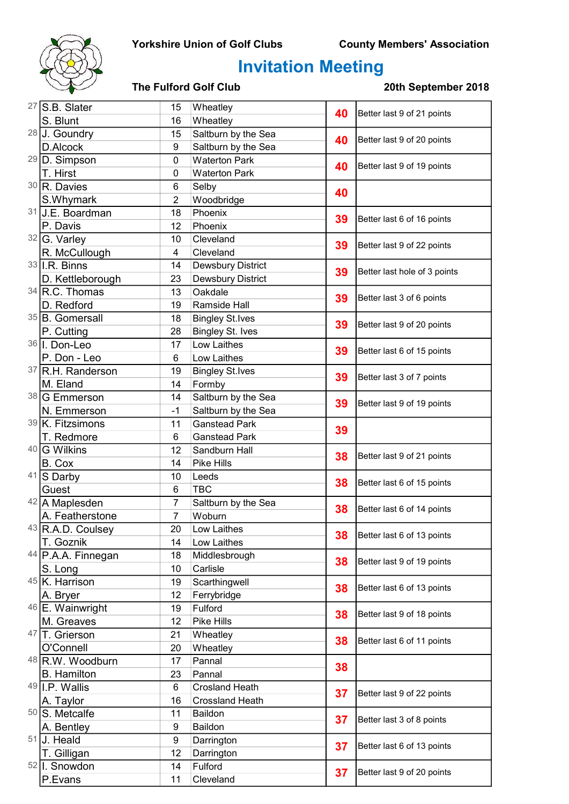### Yorkshire Union of Golf Clubs County Members' Association



# Invitation Meeting

| $27$ S.B. Slater                  | 15                  | Wheatley                      | 40       | Better last 9 of 21 points   |
|-----------------------------------|---------------------|-------------------------------|----------|------------------------------|
| S. Blunt                          | 16                  | Wheatley                      |          |                              |
| 28 J. Goundry                     | 15                  | Saltburn by the Sea           | 40       | Better last 9 of 20 points   |
| D.Alcock                          | 9                   | Saltburn by the Sea           |          |                              |
| 29 D. Simpson                     | 0                   | <b>Waterton Park</b>          | 40       | Better last 9 of 19 points   |
| T. Hirst                          | 0                   | <b>Waterton Park</b>          |          |                              |
| $30$ R. Davies                    | 6                   | Selby                         | 40       |                              |
| S.Whymark                         | $\overline{2}$      | Woodbridge                    |          |                              |
| 31 J.E. Boardman                  | 18                  | Phoenix                       | 39<br>39 | Better last 6 of 16 points   |
| P. Davis                          | 12                  | Phoenix                       |          |                              |
| $32\sqrt{G}$ . Varley             | 10                  | Cleveland                     |          | Better last 9 of 22 points   |
| R. McCullough                     | 4                   | Cleveland                     |          |                              |
| $33$ I.R. Binns                   | 14                  | Dewsbury District             | 39       | Better last hole of 3 points |
| D. Kettleborough                  | 23                  | Dewsbury District             |          |                              |
| 34 R.C. Thomas                    | 13                  | Oakdale                       | 39       | Better last 3 of 6 points    |
| D. Redford                        | 19                  | Ramside Hall                  |          |                              |
| 35 B. Gomersall                   | 18                  | <b>Bingley St.Ives</b>        | 39       | Better last 9 of 20 points   |
| P. Cutting                        | 28                  | <b>Bingley St. Ives</b>       |          |                              |
| 36 I. Don-Leo                     | 17                  | Low Laithes                   | 39       | Better last 6 of 15 points   |
| P. Don - Leo                      | 6                   | Low Laithes                   |          |                              |
| 37 R.H. Randerson                 | 19                  | <b>Bingley St.Ives</b>        | 39       | Better last 3 of 7 points    |
| M. Eland                          | 14                  | Formby                        |          |                              |
| 38 G Emmerson                     | 14                  | Saltburn by the Sea           | 39       | Better last 9 of 19 points   |
| N. Emmerson                       | $-1$                | Saltburn by the Sea           |          |                              |
| 39 K. Fitzsimons                  | 11                  | <b>Ganstead Park</b>          | 39       |                              |
| T. Redmore                        | 6                   | <b>Ganstead Park</b>          |          |                              |
| 40 G Wilkins                      | 12                  | Sandburn Hall                 | 38       | Better last 9 of 21 points   |
| B. Cox                            | 14                  | <b>Pike Hills</b>             |          |                              |
| 41 S Darby                        | 10                  | Leeds                         | 38       | Better last 6 of 15 points   |
| Guest                             | 6<br>$\overline{7}$ | <b>TBC</b>                    |          |                              |
| 42 A Maplesden<br>A. Featherstone | $\overline{7}$      | Saltburn by the Sea<br>Woburn | 38       | Better last 6 of 14 points   |
| 43 R.A.D. Coulsey                 | 20                  | Low Laithes                   |          |                              |
| T. Goznik                         | 14                  | Low Laithes                   | 38       | Better last 6 of 13 points   |
| $44$ P.A.A. Finnegan              | 18                  | Middlesbrough                 |          |                              |
| S. Long                           | 10                  | Carlisle                      | 38       | Better last 9 of 19 points   |
| 45 K. Harrison                    | 19                  | Scarthingwell                 |          |                              |
| A. Bryer                          | 12                  | Ferrybridge                   | 38       | Better last 6 of 13 points   |
| 46 E. Wainwright                  | 19                  | Fulford                       |          |                              |
| M. Greaves                        | 12                  | Pike Hills                    | 38       | Better last 9 of 18 points   |
| 47 T. Grierson                    | 21                  | Wheatley                      |          |                              |
| O'Connell                         | 20                  | Wheatley                      | 38       | Better last 6 of 11 points   |
| 48 R.W. Woodburn                  | 17                  | Pannal                        |          |                              |
| <b>B.</b> Hamilton                | 23                  | Pannal                        | 38       |                              |
| $49$  I.P. Wallis                 | 6                   | <b>Crosland Heath</b>         |          | Better last 9 of 22 points   |
| A. Taylor                         | 16                  | <b>Crossland Heath</b>        | 37       |                              |
| 50 S. Metcalfe                    | 11                  | Baildon                       |          |                              |
| A. Bentley                        | 9                   | Baildon                       | 37       | Better last 3 of 8 points    |
| $51$ J. Heald                     | 9                   | Darrington                    | 37       |                              |
| T. Gilligan                       | 12                  | Darrington                    |          | Better last 6 of 13 points   |
| 52   I. Snowdon                   | 14                  | Fulford                       |          |                              |
| P.Evans                           | 11                  | Cleveland                     | 37       | Better last 9 of 20 points   |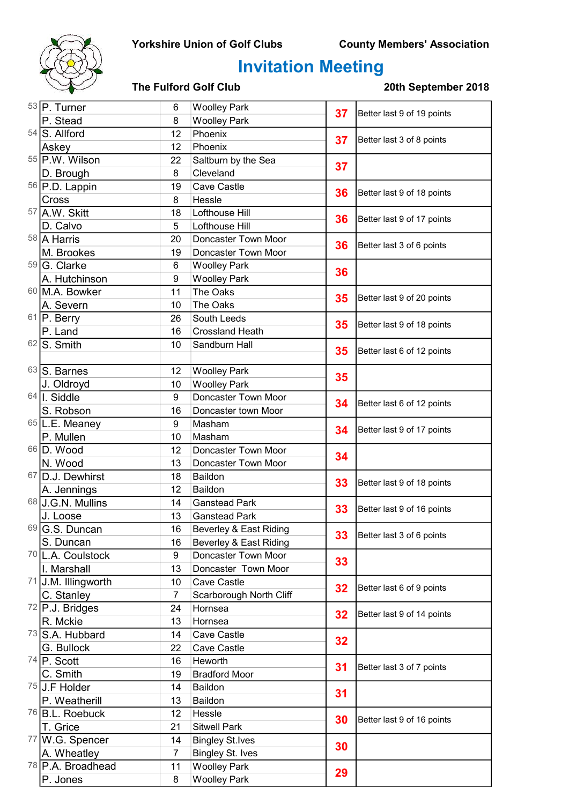### Yorkshire Union of Golf Clubs County Members' Association



## Invitation Meeting

| 53 P. Turner                 | 6                | <b>Woolley Park</b>     | 37 | Better last 9 of 19 points |
|------------------------------|------------------|-------------------------|----|----------------------------|
| P. Stead                     | 8                | <b>Woolley Park</b>     |    |                            |
| 54 S. Allford                | 12               | Phoenix                 | 37 | Better last 3 of 8 points  |
| Askey                        | 12               | Phoenix                 |    |                            |
| 55 P.W. Wilson               | 22               | Saltburn by the Sea     | 37 |                            |
| D. Brough                    | 8                | Cleveland               |    |                            |
| 56 P.D. Lappin               | 19               | Cave Castle             | 36 | Better last 9 of 18 points |
| Cross                        | 8                | Hessle                  |    |                            |
| 57 A.W. Skitt                | 18               | Lofthouse Hill          | 36 | Better last 9 of 17 points |
| D. Calvo                     | 5                | Lofthouse Hill          |    |                            |
| 58 A Harris                  | 20               | Doncaster Town Moor     | 36 | Better last 3 of 6 points  |
| M. Brookes                   | 19               | Doncaster Town Moor     |    |                            |
| 59 G. Clarke                 | 6                | <b>Woolley Park</b>     | 36 |                            |
| A. Hutchinson                | 9                | <b>Woolley Park</b>     |    |                            |
| 60 M.A. Bowker               | 11               | The Oaks                | 35 | Better last 9 of 20 points |
| A. Severn                    | 10               | The Oaks                |    |                            |
| $61$ P. Berry                | 26               | South Leeds             | 35 | Better last 9 of 18 points |
| P. Land                      | 16               | <b>Crossland Heath</b>  |    |                            |
| $62$ S. Smith                | 10               | Sandburn Hall           | 35 | Better last 6 of 12 points |
|                              |                  |                         |    |                            |
| 63 S. Barnes                 | 12               | <b>Woolley Park</b>     | 35 |                            |
| J. Oldroyd                   | 10               | <b>Woolley Park</b>     |    |                            |
| $64$   I. Siddle             | $\boldsymbol{9}$ | Doncaster Town Moor     | 34 | Better last 6 of 12 points |
| S. Robson                    | 16               | Doncaster town Moor     |    |                            |
| 65 L.E. Meaney               | 9                | Masham                  | 34 | Better last 9 of 17 points |
| P. Mullen                    | 10               | Masham                  |    |                            |
| 66 D. Wood                   | 12               | Doncaster Town Moor     | 34 |                            |
| N. Wood                      | 13               | Doncaster Town Moor     |    |                            |
| 67 D.J. Dewhirst             | 18               | Baildon                 | 33 | Better last 9 of 18 points |
| A. Jennings                  | 12               | Baildon                 |    |                            |
| 68 J.G.N. Mullins            | 14               | <b>Ganstead Park</b>    | 33 | Better last 9 of 16 points |
| J. Loose                     | 13               | <b>Ganstead Park</b>    |    |                            |
| 69 G.S. Duncan               | 16               | Beverley & East Riding  | 33 | Better last 3 of 6 points  |
| S. Duncan                    | 16               | Beverley & East Riding  |    |                            |
| 70 L.A. Coulstock            | 9                | Doncaster Town Moor     | 33 |                            |
| I. Marshall                  | 13               | Doncaster Town Moor     |    |                            |
| 71 J.M. Illingworth          | 10               | Cave Castle             | 32 | Better last 6 of 9 points  |
| C. Stanley                   | 7                | Scarborough North Cliff |    |                            |
| $72$ P.J. Bridges            | 24               | Hornsea                 | 32 | Better last 9 of 14 points |
| R. Mckie                     | 13               | Hornsea                 |    |                            |
| 73 S.A. Hubbard              | 14               | Cave Castle             | 32 |                            |
| G. Bullock                   | 22               | Cave Castle             |    |                            |
| $74$ P. Scott                | 16               | Heworth                 | 31 | Better last 3 of 7 points  |
| C. Smith                     | 19               | <b>Bradford Moor</b>    |    |                            |
| $75$ U.F Holder              | 14               | Baildon                 | 31 |                            |
| P. Weatherill                | 13               | Baildon                 |    |                            |
| <sup>76</sup> B.L. Roebuck   | 12               | Hessle                  | 30 | Better last 9 of 16 points |
| T. Grice                     | 21               | <b>Sitwell Park</b>     |    |                            |
| 77 W.G. Spencer              | 14               | <b>Bingley St.Ives</b>  | 30 |                            |
| A. Wheatley                  | $\overline{7}$   | <b>Bingley St. Ives</b> |    |                            |
| <sup>78</sup> P.A. Broadhead | 11               | <b>Woolley Park</b>     | 29 |                            |
| P. Jones                     | 8                | <b>Woolley Park</b>     |    |                            |